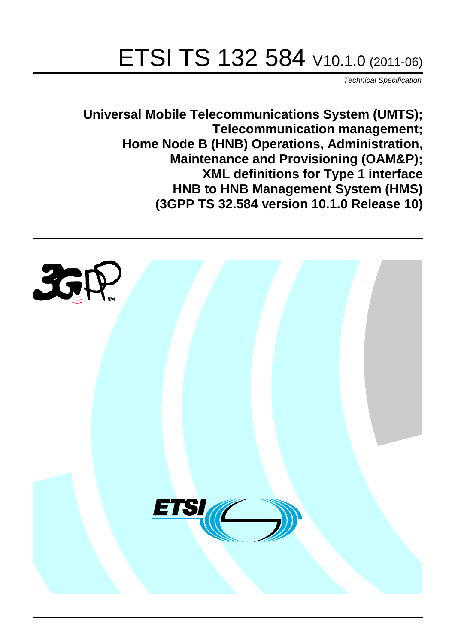# ETSI TS 132 584 V10.1.0 (2011-06)

*Technical Specification*

**Universal Mobile Telecommunications System (UMTS); Telecommunication management; Home Node B (HNB) Operations, Administration, Maintenance and Provisioning (OAM&P); XML definitions for Type 1 interface HNB to HNB Management System (HMS) (3GPP TS 32.584 version 10.1.0 Release 10)**

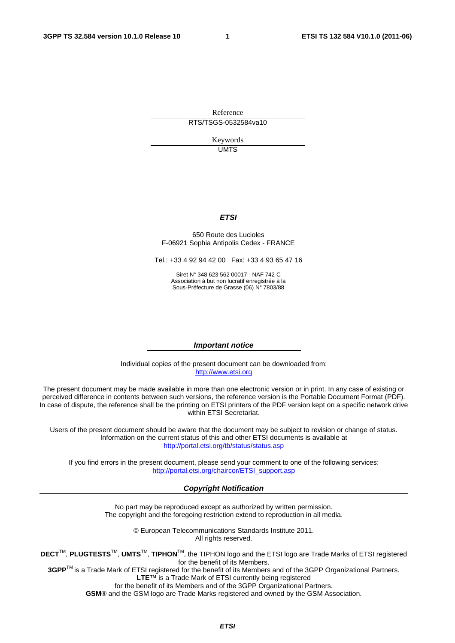Reference RTS/TSGS-0532584va10

> Keywords UMTS

#### *ETSI*

#### 650 Route des Lucioles F-06921 Sophia Antipolis Cedex - FRANCE

Tel.: +33 4 92 94 42 00 Fax: +33 4 93 65 47 16

Siret N° 348 623 562 00017 - NAF 742 C Association à but non lucratif enregistrée à la Sous-Préfecture de Grasse (06) N° 7803/88

#### *Important notice*

Individual copies of the present document can be downloaded from: [http://www.etsi.org](http://www.etsi.org/)

The present document may be made available in more than one electronic version or in print. In any case of existing or perceived difference in contents between such versions, the reference version is the Portable Document Format (PDF). In case of dispute, the reference shall be the printing on ETSI printers of the PDF version kept on a specific network drive within ETSI Secretariat.

Users of the present document should be aware that the document may be subject to revision or change of status. Information on the current status of this and other ETSI documents is available at <http://portal.etsi.org/tb/status/status.asp>

If you find errors in the present document, please send your comment to one of the following services: [http://portal.etsi.org/chaircor/ETSI\\_support.asp](http://portal.etsi.org/chaircor/ETSI_support.asp)

#### *Copyright Notification*

No part may be reproduced except as authorized by written permission. The copyright and the foregoing restriction extend to reproduction in all media.

> © European Telecommunications Standards Institute 2011. All rights reserved.

**DECT**TM, **PLUGTESTS**TM, **UMTS**TM, **TIPHON**TM, the TIPHON logo and the ETSI logo are Trade Marks of ETSI registered for the benefit of its Members.

**3GPP**TM is a Trade Mark of ETSI registered for the benefit of its Members and of the 3GPP Organizational Partners. **LTE**™ is a Trade Mark of ETSI currently being registered

for the benefit of its Members and of the 3GPP Organizational Partners.

**GSM**® and the GSM logo are Trade Marks registered and owned by the GSM Association.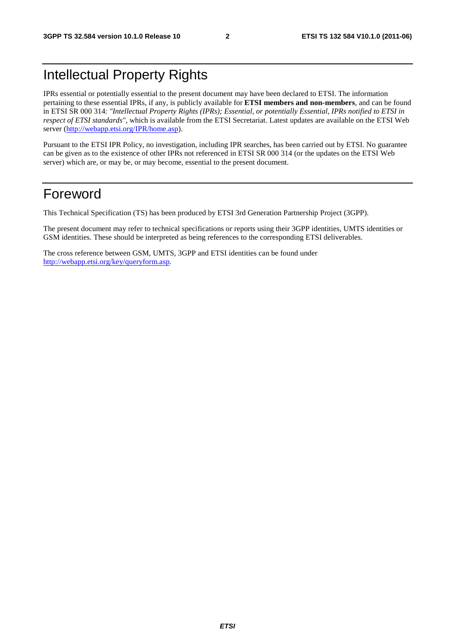# Intellectual Property Rights

IPRs essential or potentially essential to the present document may have been declared to ETSI. The information pertaining to these essential IPRs, if any, is publicly available for **ETSI members and non-members**, and can be found in ETSI SR 000 314: *"Intellectual Property Rights (IPRs); Essential, or potentially Essential, IPRs notified to ETSI in respect of ETSI standards"*, which is available from the ETSI Secretariat. Latest updates are available on the ETSI Web server [\(http://webapp.etsi.org/IPR/home.asp\)](http://webapp.etsi.org/IPR/home.asp).

Pursuant to the ETSI IPR Policy, no investigation, including IPR searches, has been carried out by ETSI. No guarantee can be given as to the existence of other IPRs not referenced in ETSI SR 000 314 (or the updates on the ETSI Web server) which are, or may be, or may become, essential to the present document.

## Foreword

This Technical Specification (TS) has been produced by ETSI 3rd Generation Partnership Project (3GPP).

The present document may refer to technical specifications or reports using their 3GPP identities, UMTS identities or GSM identities. These should be interpreted as being references to the corresponding ETSI deliverables.

The cross reference between GSM, UMTS, 3GPP and ETSI identities can be found under [http://webapp.etsi.org/key/queryform.asp.](http://webapp.etsi.org/key/queryform.asp)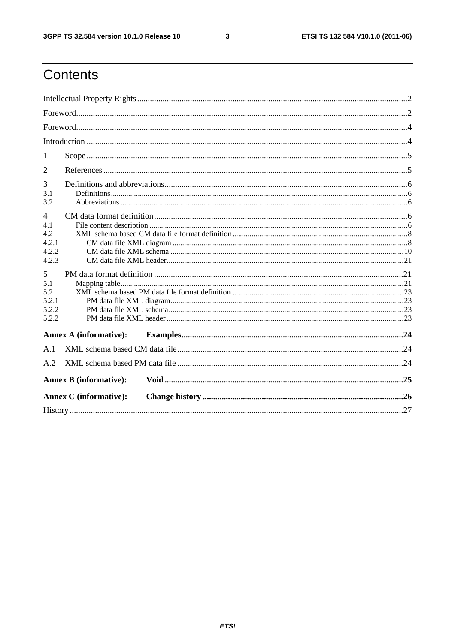$\mathbf{3}$ 

# Contents

| 1                                                       |                               |  |  |  |  |
|---------------------------------------------------------|-------------------------------|--|--|--|--|
| 2                                                       |                               |  |  |  |  |
| 3<br>3.1<br>3.2                                         |                               |  |  |  |  |
| $\overline{4}$<br>4.1<br>4.2<br>4.2.1<br>4.2.2<br>4.2.3 |                               |  |  |  |  |
| 5<br>5.1<br>5.2<br>5.2.1<br>5.2.2<br>5.2.2              |                               |  |  |  |  |
|                                                         | <b>Annex A (informative):</b> |  |  |  |  |
| A.1                                                     |                               |  |  |  |  |
| A.2                                                     |                               |  |  |  |  |
|                                                         | <b>Annex B</b> (informative): |  |  |  |  |
|                                                         | <b>Annex C</b> (informative): |  |  |  |  |
|                                                         |                               |  |  |  |  |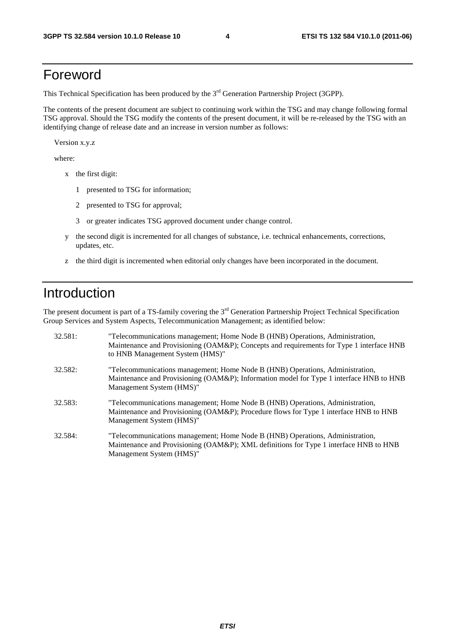# Foreword

This Technical Specification has been produced by the 3<sup>rd</sup> Generation Partnership Project (3GPP).

The contents of the present document are subject to continuing work within the TSG and may change following formal TSG approval. Should the TSG modify the contents of the present document, it will be re-released by the TSG with an identifying change of release date and an increase in version number as follows:

Version x.y.z

where:

- x the first digit:
	- 1 presented to TSG for information;
	- 2 presented to TSG for approval;
	- 3 or greater indicates TSG approved document under change control.
- y the second digit is incremented for all changes of substance, i.e. technical enhancements, corrections, updates, etc.
- z the third digit is incremented when editorial only changes have been incorporated in the document.

# Introduction

The present document is part of a TS-family covering the 3<sup>rd</sup> Generation Partnership Project Technical Specification Group Services and System Aspects, Telecommunication Management; as identified below:

| 32.581: | "Telecommunications management; Home Node B (HNB) Operations, Administration,<br>Maintenance and Provisioning (OAM&P); Concepts and requirements for Type 1 interface HNB<br>to HNB Management System (HMS)" |
|---------|--------------------------------------------------------------------------------------------------------------------------------------------------------------------------------------------------------------|
| 32.582: | "Telecommunications management; Home Node B (HNB) Operations, Administration,<br>Maintenance and Provisioning (OAM&P); Information model for Type 1 interface HNB to HNB<br>Management System (HMS)"         |
| 32.583: | "Telecommunications management; Home Node B (HNB) Operations, Administration,<br>Maintenance and Provisioning (OAM&P); Procedure flows for Type 1 interface HNB to HNB<br>Management System (HMS)"           |
| 32.584: | "Telecommunications management; Home Node B (HNB) Operations, Administration,<br>Maintenance and Provisioning (OAM&P); XML definitions for Type 1 interface HNB to HNB<br>Management System (HMS)"           |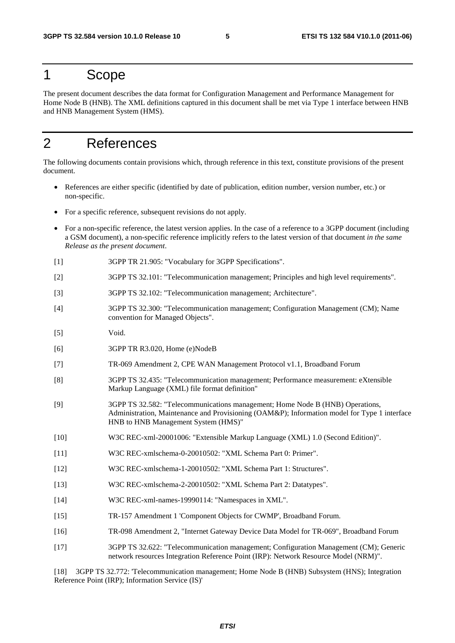### 1 Scope

The present document describes the data format for Configuration Management and Performance Management for Home Node B (HNB). The XML definitions captured in this document shall be met via Type 1 interface between HNB and HNB Management System (HMS).

# 2 References

The following documents contain provisions which, through reference in this text, constitute provisions of the present document.

- References are either specific (identified by date of publication, edition number, version number, etc.) or non-specific.
- For a specific reference, subsequent revisions do not apply.
- For a non-specific reference, the latest version applies. In the case of a reference to a 3GPP document (including a GSM document), a non-specific reference implicitly refers to the latest version of that document *in the same Release as the present document*.
- [1] 3GPP TR 21.905: "Vocabulary for 3GPP Specifications".
- [2] 3GPP TS 32.101: "Telecommunication management; Principles and high level requirements".
- [3] 3GPP TS 32.102: "Telecommunication management; Architecture".
- [4] 3GPP TS 32.300: "Telecommunication management; Configuration Management (CM); Name convention for Managed Objects".
- [5] Void.
- [6] 3GPP TR R3.020, Home (e)NodeB
- [7] TR-069 Amendment 2, CPE WAN Management Protocol v1.1, Broadband Forum
- [8] 3GPP TS 32.435: "Telecommunication management; Performance measurement: eXtensible Markup Language (XML) file format definition"
- [9] 3GPP TS 32.582: "Telecommunications management; Home Node B (HNB) Operations, Administration, Maintenance and Provisioning (OAM&P); Information model for Type 1 interface HNB to HNB Management System (HMS)"
- [10] W3C REC-xml-20001006: "Extensible Markup Language (XML) 1.0 (Second Edition)".
- [11] W3C REC-xmlschema-0-20010502: "XML Schema Part 0: Primer".
- [12] W3C REC-xmlschema-1-20010502: "XML Schema Part 1: Structures".
- [13] W3C REC-xmlschema-2-20010502: "XML Schema Part 2: Datatypes".
- [14] W3C REC-xml-names-19990114: "Namespaces in XML".
- [15] TR-157 Amendment 1 'Component Objects for CWMP', Broadband Forum.
- [16] TR-098 Amendment 2, "Internet Gateway Device Data Model for TR-069", Broadband Forum
- [17] 3GPP TS 32.622: "Telecommunication management; Configuration Management (CM); Generic network resources Integration Reference Point (IRP): Network Resource Model (NRM)".

[18] 3GPP TS 32.772: 'Telecommunication management; Home Node B (HNB) Subsystem (HNS); Integration Reference Point (IRP); Information Service (IS)'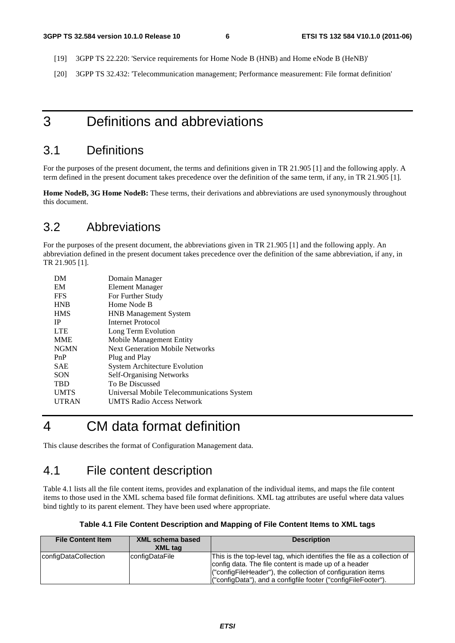- [19] 3GPP TS 22.220: 'Service requirements for Home Node B (HNB) and Home eNode B (HeNB)'
- [20] 3GPP TS 32.432: 'Telecommunication management; Performance measurement: File format definition'

## 3 Definitions and abbreviations

#### 3.1 Definitions

For the purposes of the present document, the terms and definitions given in TR 21.905 [1] and the following apply. A term defined in the present document takes precedence over the definition of the same term, if any, in TR 21.905 [1].

**Home NodeB, 3G Home NodeB:** These terms, their derivations and abbreviations are used synonymously throughout this document.

#### 3.2 Abbreviations

For the purposes of the present document, the abbreviations given in TR 21.905 [1] and the following apply. An abbreviation defined in the present document takes precedence over the definition of the same abbreviation, if any, in TR 21.905 [1].

| Domain Manager                             |
|--------------------------------------------|
| Element Manager                            |
| For Further Study                          |
| Home Node B                                |
| <b>HNB</b> Management System               |
| Internet Protocol                          |
| Long Term Evolution                        |
| Mobile Management Entity                   |
| <b>Next Generation Mobile Networks</b>     |
| Plug and Play                              |
| <b>System Architecture Evolution</b>       |
| <b>Self-Organising Networks</b>            |
| To Be Discussed                            |
| Universal Mobile Telecommunications System |
| <b>UMTS Radio Access Network</b>           |
|                                            |

# 4 CM data format definition

This clause describes the format of Configuration Management data.

#### 4.1 File content description

Table 4.1 lists all the file content items, provides and explanation of the individual items, and maps the file content items to those used in the XML schema based file format definitions. XML tag attributes are useful where data values bind tightly to its parent element. They have been used where appropriate.

|  | Table 4.1 File Content Description and Mapping of File Content Items to XML tags |  |
|--|----------------------------------------------------------------------------------|--|
|  |                                                                                  |  |

| <b>File Content Item</b> | <b>XML schema based</b><br><b>XML</b> tag | <b>Description</b>                                                                                                                                                                                                                                              |
|--------------------------|-------------------------------------------|-----------------------------------------------------------------------------------------------------------------------------------------------------------------------------------------------------------------------------------------------------------------|
| configDataCollection     | configDataFile                            | This is the top-level tag, which identifies the file as a collection of<br>config data. The file content is made up of a header<br>("configFileHeader"), the collection of configuration items<br>("configData"), and a configfile footer ("configFileFooter"). |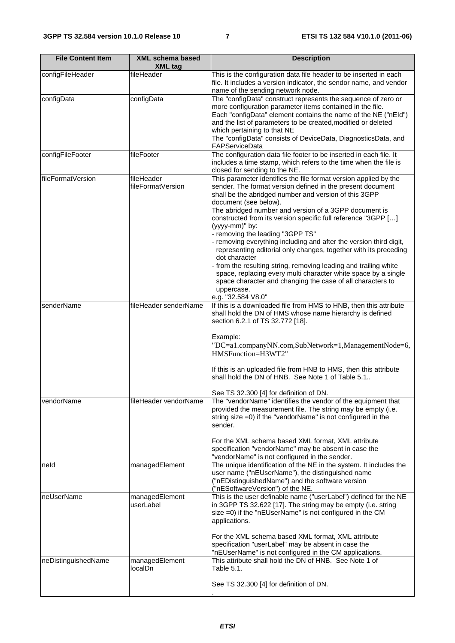| <b>File Content Item</b>                             | <b>XML schema based</b><br><b>XML</b> tag | <b>Description</b>                                                                                                                                                                                                                                                                                                                                                                                                                                                                                                                                                                                                                                                                                                                                                                                |  |  |  |  |
|------------------------------------------------------|-------------------------------------------|---------------------------------------------------------------------------------------------------------------------------------------------------------------------------------------------------------------------------------------------------------------------------------------------------------------------------------------------------------------------------------------------------------------------------------------------------------------------------------------------------------------------------------------------------------------------------------------------------------------------------------------------------------------------------------------------------------------------------------------------------------------------------------------------------|--|--|--|--|
| configFileHeader                                     | fileHeader                                | This is the configuration data file header to be inserted in each<br>file. It includes a version indicator, the sendor name, and vendor<br>name of the sending network node.                                                                                                                                                                                                                                                                                                                                                                                                                                                                                                                                                                                                                      |  |  |  |  |
| configData                                           | configData                                | The "configData" construct represents the sequence of zero or<br>more configuration parameter items contained in the file.<br>Each "configData" element contains the name of the NE ("nEld")<br>and the list of parameters to be created, modified or deleted<br>which pertaining to that NE<br>The "configData" consists of DeviceData, DiagnosticsData, and<br>FAPServiceData                                                                                                                                                                                                                                                                                                                                                                                                                   |  |  |  |  |
| configFileFooter                                     | fileFooter                                | The configuration data file footer to be inserted in each file. It<br>includes a time stamp, which refers to the time when the file is<br>closed for sending to the NE.                                                                                                                                                                                                                                                                                                                                                                                                                                                                                                                                                                                                                           |  |  |  |  |
| fileFormatVersion<br>fileHeader<br>fileFormatVersion |                                           | This parameter identifies the file format version applied by the<br>sender. The format version defined in the present document<br>shall be the abridged number and version of this 3GPP<br>document (see below).<br>The abridged number and version of a 3GPP document is<br>constructed from its version specific full reference "3GPP []<br>(yyyy-mm)" by:<br>- removing the leading "3GPP TS"<br>- removing everything including and after the version third digit,<br>representing editorial only changes, together with its preceding<br>dot character<br>from the resulting string, removing leading and trailing white<br>space, replacing every multi character white space by a single<br>space character and changing the case of all characters to<br>uppercase.<br>e.g. "32.584 V8.0" |  |  |  |  |
| senderName                                           | fileHeader senderName                     | If this is a downloaded file from HMS to HNB, then this attribute<br>shall hold the DN of HMS whose name hierarchy is defined<br>section 6.2.1 of TS 32.772 [18].<br>Example:<br>"DC=a1.companyNN.com,SubNetwork=1,ManagementNode=6,<br>HMSFunction=H3WT2"<br>If this is an uploaded file from HNB to HMS, then this attribute<br>shall hold the DN of HNB. See Note 1 of Table 5.1.<br>See TS 32.300 [4] for definition of DN.                                                                                                                                                                                                                                                                                                                                                                   |  |  |  |  |
| vendorName                                           | fileHeader vendorName                     | The "vendorName" identifies the vendor of the equipment that<br>provided the measurement file. The string may be empty (i.e.<br>string size =0) if the "vendorName" is not configured in the<br>sender.<br>For the XML schema based XML format, XML attribute<br>specification "vendorName" may be absent in case the<br>"vendorName" is not configured in the sender.                                                                                                                                                                                                                                                                                                                                                                                                                            |  |  |  |  |
| neld                                                 | managedElement                            | The unique identification of the NE in the system. It includes the<br>user name ("nEUserName"), the distinguished name<br>("nEDistinguishedName") and the software version<br>("nESoftwareVersion") of the NE.                                                                                                                                                                                                                                                                                                                                                                                                                                                                                                                                                                                    |  |  |  |  |
| neUserName                                           | managedElement<br>userLabel               | This is the user definable name ("userLabel") defined for the NE<br>in 3GPP TS 32.622 [17]. The string may be empty (i.e. string<br>size =0) if the "nEUserName" is not configured in the CM<br>applications.<br>For the XML schema based XML format, XML attribute<br>specification "userLabel" may be absent in case the<br>"nEUserName" is not configured in the CM applications.                                                                                                                                                                                                                                                                                                                                                                                                              |  |  |  |  |
| neDistinguishedName                                  | managedElement<br>localDn.                | This attribute shall hold the DN of HNB. See Note 1 of<br>Table 5.1.<br>See TS 32.300 [4] for definition of DN.                                                                                                                                                                                                                                                                                                                                                                                                                                                                                                                                                                                                                                                                                   |  |  |  |  |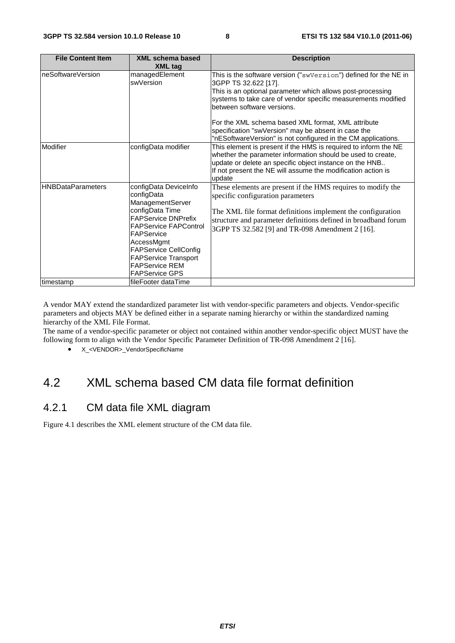| <b>File Content Item</b> | XML schema based<br><b>XML tag</b>                                                                                                                                                                                                                                                    | <b>Description</b>                                                                                                                                                                                                                                                                                                                                                                                                                  |
|--------------------------|---------------------------------------------------------------------------------------------------------------------------------------------------------------------------------------------------------------------------------------------------------------------------------------|-------------------------------------------------------------------------------------------------------------------------------------------------------------------------------------------------------------------------------------------------------------------------------------------------------------------------------------------------------------------------------------------------------------------------------------|
| neSoftwareVersion        | managedElement<br>swVersion                                                                                                                                                                                                                                                           | This is the software version ("swVersion") defined for the NE in<br>3GPP TS 32.622 [17].<br>This is an optional parameter which allows post-processing<br>systems to take care of vendor specific measurements modified<br>between software versions.<br>For the XML schema based XML format, XML attribute<br>specification "swVersion" may be absent in case the<br>"nESoftwareVersion" is not configured in the CM applications. |
| Modifier                 | configData modifier                                                                                                                                                                                                                                                                   | This element is present if the HMS is required to inform the NE<br>whether the parameter information should be used to create,<br>update or delete an specific object instance on the HNB<br>If not present the NE will assume the modification action is<br>update                                                                                                                                                                 |
| <b>HNBDataParameters</b> | configData DeviceInfo<br>configData<br>ManagementServer<br>configData Time<br><b>FAPService DNPrefix</b><br><b>FAPService FAPControl</b><br>FAPService<br>AccessMgmt<br><b>FAPService CellConfig</b><br><b>FAPService Transport</b><br><b>FAPService REM</b><br><b>FAPService GPS</b> | These elements are present if the HMS requires to modify the<br>specific configuration parameters<br>The XML file format definitions implement the configuration<br>structure and parameter definitions defined in broadband forum<br>3GPP TS 32.582 [9] and TR-098 Amendment 2 [16].                                                                                                                                               |
| timestamp                | fileFooter dataTime                                                                                                                                                                                                                                                                   |                                                                                                                                                                                                                                                                                                                                                                                                                                     |

A vendor MAY extend the standardized parameter list with vendor-specific parameters and objects. Vendor-specific parameters and objects MAY be defined either in a separate naming hierarchy or within the standardized naming hierarchy of the XML File Format.

The name of a vendor-specific parameter or object not contained within another vendor-specific object MUST have the following form to align with the Vendor Specific Parameter Definition of TR-098 Amendment 2 [16].

• X <VENDOR> VendorSpecificName

### 4.2 XML schema based CM data file format definition

#### 4.2.1 CM data file XML diagram

Figure 4.1 describes the XML element structure of the CM data file.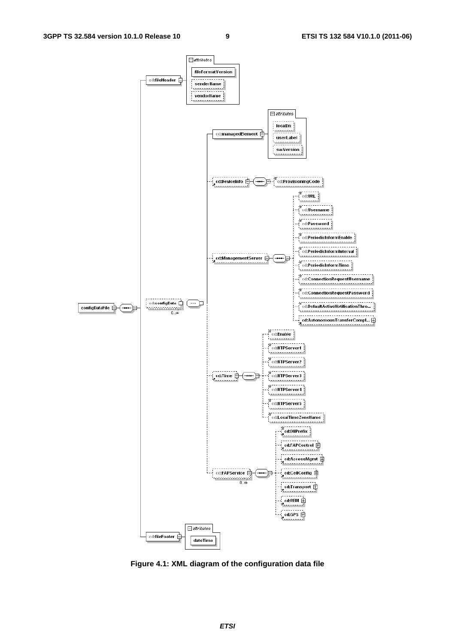

**Figure 4.1: XML diagram of the configuration data file**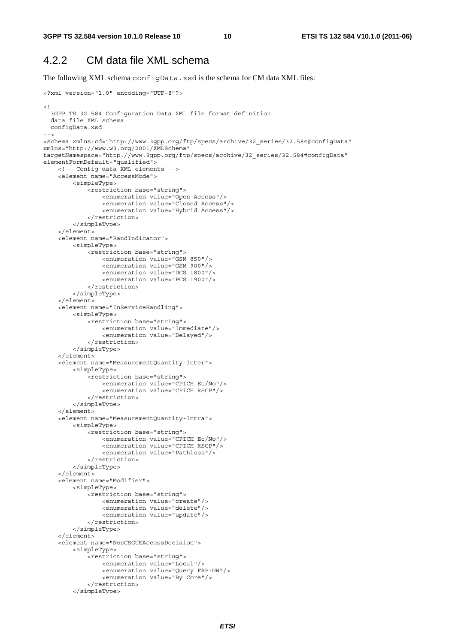#### 4.2.2 CM data file XML schema

The following XML schema configData.xsd is the schema for CM data XML files:

```
<?xml version="1.0" encoding="UTF-8"?> 
<! - -
   3GPP TS 32.584 Configuration Data XML file format definition 
   data file XML schema 
  configData.xsd 
--> 
<schema xmlns:cd="http://www.3gpp.org/ftp/specs/archive/32_series/32.584#configData" 
xmlns="http://www.w3.org/2001/XMLSchema" 
targetNamespace="http://www.3gpp.org/ftp/specs/archive/32_series/32.584#configData" 
elementFormDefault="qualified"> 
     <!-- Config data XML elements --> 
     <element name="AccessMode"> 
         <simpleType> 
              <restriction base="string"> 
                  <enumeration value="Open Access"/> 
                  <enumeration value="Closed Access"/> 
                  <enumeration value="Hybrid Access"/> 
              </restriction> 
         </simpleType> 
     </element> 
     <element name="BandIndicator"> 
         <simpleType> 
              <restriction base="string"> 
                  <enumeration value="GSM 850"/> 
                  <enumeration value="GSM 900"/> 
                  <enumeration value="DCS 1800"/> 
                  <enumeration value="PCS 1900"/> 
              </restriction> 
         </simpleType> 
     </element> 
     <element name="InServiceHandling"> 
         <simpleType> 
              <restriction base="string"> 
                  <enumeration value="Immediate"/> 
                  <enumeration value="Delayed"/> 
              </restriction> 
         </simpleType> 
     </element> 
     <element name="MeasurementQuantity-Inter"> 
         <simpleType> 
              <restriction base="string"> 
                  <enumeration value="CPICH Ec/No"/> 
                  <enumeration value="CPICH RSCP"/> 
              </restriction> 
          </simpleType> 
     </element> 
     <element name="MeasurementQuantity-Intra"> 
         <simpleType> 
              <restriction base="string"> 
                  <enumeration value="CPICH Ec/No"/> 
                  <enumeration value="CPICH RSCP"/> 
                  <enumeration value="Pathloss"/> 
              </restriction> 
         </simpleType> 
     </element> 
     <element name="Modifier"> 
         <simpleType> 
              <restriction base="string"> 
                  <enumeration value="create"/> 
                  <enumeration value="delete"/> 
                  <enumeration value="update"/> 
              </restriction> 
          </simpleType> 
     </element> 
     <element name="NonCSGUEAccessDecision"> 
         <simpleType> 
              <restriction base="string"> 
                  <enumeration value="Local"/> 
                  <enumeration value="Query FAP-GW"/> 
                  <enumeration value="By Core"/> 
              </restriction> 
          </simpleType>
```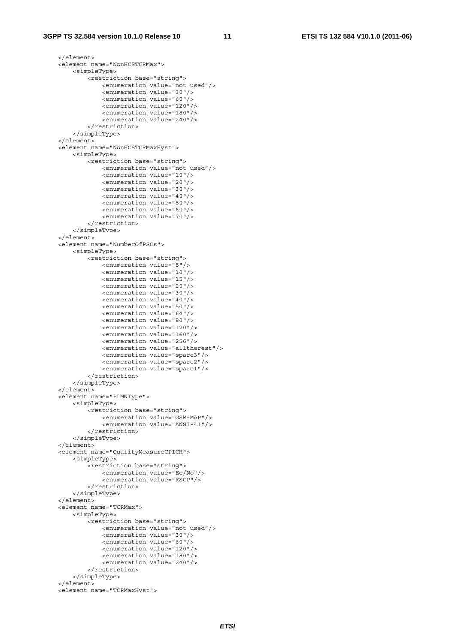```
 </element> 
 <element name="NonHCSTCRMax"> 
     <simpleType> 
         <restriction base="string"> 
              <enumeration value="not used"/> 
              <enumeration value="30"/> 
              <enumeration value="60"/> 
              <enumeration value="120"/> 
              <enumeration value="180"/> 
              <enumeration value="240"/> 
         </restriction> 
     </simpleType> 
 </element> 
 <element name="NonHCSTCRMaxHyst"> 
     <simpleType> 
         <restriction base="string"> 
              <enumeration value="not used"/> 
              <enumeration value="10"/> 
              <enumeration value="20"/> 
              <enumeration value="30"/> 
              <enumeration value="40"/> 
              <enumeration value="50"/> 
              <enumeration value="60"/> 
              <enumeration value="70"/> 
         </restriction> 
     </simpleType> 
 </element> 
 <element name="NumberOfPSCs"> 
     <simpleType> 
        -<br>///wetriction base="string">
              <enumeration value="5"/> 
              <enumeration value="10"/> 
              <enumeration value="15"/> 
              <enumeration value="20"/> 
              <enumeration value="30"/> 
              <enumeration value="40"/> 
              <enumeration value="50"/> 
              <enumeration value="64"/> 
              <enumeration value="80"/> 
              <enumeration value="120"/> 
              <enumeration value="160"/> 
              <enumeration value="256"/> 
              <enumeration value="alltherest"/> 
              <enumeration value="spare3"/> 
              <enumeration value="spare2"/> 
              <enumeration value="spare1"/> 
         </restriction> 
     </simpleType> 
 </element> 
 <element name="PLMNType"> 
     <simpleType> 
         <restriction base="string"> 
              <enumeration value="GSM-MAP"/> 
              <enumeration value="ANSI-41"/> 
         </restriction> 
     </simpleType> 
 </element> 
 <element name="QualityMeasureCPICH"> 
     <simpleType> 
         <restriction base="string"> 
              <enumeration value="Ec/No"/> 
              <enumeration value="RSCP"/> 
         </restriction> 
     </simpleType> 
\epsilon/element>
 <element name="TCRMax"> 
     <simpleType> 
         <restriction base="string"> 
              <enumeration value="not used"/> 
              <enumeration value="30"/> 
              <enumeration value="60"/> 
              <enumeration value="120"/> 
              <enumeration value="180"/> 
              <enumeration value="240"/> 
         </restriction> 
     </simpleType> 
 </element> 
 <element name="TCRMaxHyst">
```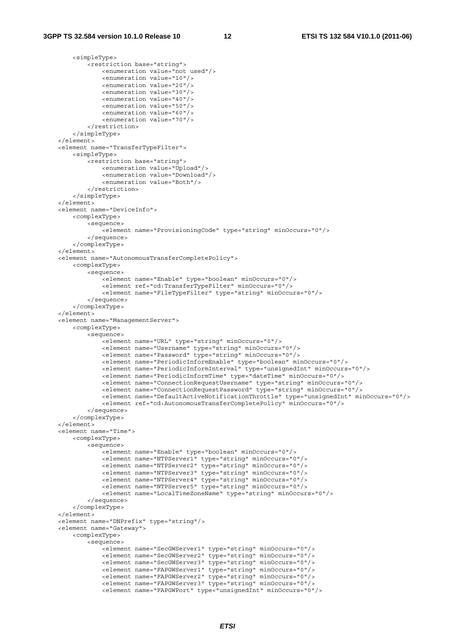<simpleType>

```
 <restriction base="string"> 
                 <enumeration value="not used"/> 
                 <enumeration value="10"/> 
                 <enumeration value="20"/> 
                 <enumeration value="30"/> 
                 <enumeration value="40"/> 
                 <enumeration value="50"/> 
                 <enumeration value="60"/> 
                 <enumeration value="70"/> 
             </restriction> 
         </simpleType> 
    </element> 
    <element name="TransferTypeFilter"> 
         <simpleType> 
             <restriction base="string"> 
                 <enumeration value="Upload"/> 
                 <enumeration value="Download"/> 
                 <enumeration value="Both"/> 
             </restriction> 
         </simpleType> 
    </element> 
    <element name="DeviceInfo"> 
         <complexType> 
             <sequence> 
                 <element name="ProvisioningCode" type="string" minOccurs="0"/> 
             </sequence> 
         </complexType> 
    </element> 
    <element name="AutonomousTransferCompletePolicy"> 
        <complexType> 
             <sequence> 
                .<br><element name="Enable" type="boolean" minOccurs="0"/>
                 <element ref="cd:TransferTypeFilter" minOccurs="0"/> 
                 <element name="FileTypeFilter" type="string" minOccurs="0"/> 
             </sequence> 
         </complexType> 
    </element> 
    <element name="ManagementServer"> 
         <complexType> 
             <sequence> 
                -<br><element name="URL" type="string" minOccurs="0"/>
                 <element name="Username" type="string" minOccurs="0"/> 
                 <element name="Password" type="string" minOccurs="0"/> 
                 <element name="PeriodicInformEnable" type="boolean" minOccurs="0"/> 
                 <element name="PeriodicInformInterval" type="unsignedInt" minOccurs="0"/> 
                 <element name="PeriodicInformTime" type="dateTime" minOccurs="0"/> 
                 <element name="ConnectionRequestUsername" type="string" minOccurs="0"/> 
                 <element name="ConnectionRequestPassword" type="string" minOccurs="0"/> 
                 <element name="DefaultActiveNotificationThrottle" type="unsignedInt" minOccurs="0"/> 
                 <element ref="cd:AutonomousTransferCompletePolicy" minOccurs="0"/> 
             </sequence> 
         </complexType> 
     </element> 
    <element name="Time"> 
        <complexType> 
             <sequence> 
                 <element name="Enable" type="boolean" minOccurs="0"/> 
 <element name="NTPServer1" type="string" minOccurs="0"/> 
 <element name="NTPServer2" type="string" minOccurs="0"/> 
                 <element name="NTPServer3" type="string" minOccurs="0"/> 
                 <element name="NTPServer4" type="string" minOccurs="0"/> 
                 <element name="NTPServer5" type="string" minOccurs="0"/> 
                 <element name="LocalTimeZoneName" type="string" minOccurs="0"/> 
             </sequence> 
         </complexType> 
     </element> 
    <element name="DNPrefix" type="string"/> 
    <element name="Gateway"> 
         <complexType> 
             <sequence> 
                 <element name="SecGWServer1" type="string" minOccurs="0"/> 
                 <element name="SecGWServer2" type="string" minOccurs="0"/> 
 <element name="SecGWServer3" type="string" minOccurs="0"/> 
 <element name="FAPGWServer1" type="string" minOccurs="0"/> 
                 <element name="FAPGWServer2" type="string" minOccurs="0"/> 
                 <element name="FAPGWServer3" type="string" minOccurs="0"/> 
                 <element name="FAPGWPort" type="unsignedInt" minOccurs="0"/>
```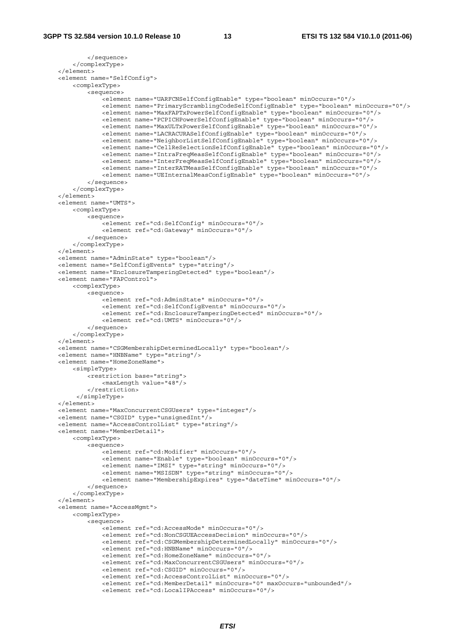```
 </sequence> 
         </complexType> 
     </element> 
    <element name="SelfConfig"> 
         <complexType> 
             <sequence> 
                -<br>-<element name="UARFCNSelfConfigEnable" type="boolean" minOccurs="0"/>
                 <element name="PrimaryScramblingCodeSelfConfigEnable" type="boolean" minOccurs="0"/> 
                 <element name="MaxFAPTxPowerSelfConfigEnable" type="boolean" minOccurs="0"/> 
                 <element name="PCPICHPowerSelfConfigEnable" type="boolean" minOccurs="0"/> 
                 <element name="MaxULTxPowerSelfConfigEnable" type="boolean" minOccurs="0"/> 
                 <element name="LACRACURASelfConfigEnable" type="boolean" minOccurs="0"/> 
                 <element name="NeighborListSelfConfigEnable" type="boolean" minOccurs="0"/> 
                 <element name="CellReSelectionSelfConfigEnable" type="boolean" minOccurs="0"/> 
                 <element name="IntraFreqMeasSelfConfigEnable" type="boolean" minOccurs="0"/> 
                 <element name="InterFreqMeasSelfConfigEnable" type="boolean" minOccurs="0"/> 
                 <element name="InterRATMeasSelfConfigEnable" type="boolean" minOccurs="0"/> 
                 <element name="UEInternalMeasConfigEnable" type="boolean" minOccurs="0"/> 
             </sequence> 
         </complexType> 
    </element> 
    <element name="UMTS"> 
         <complexType> 
             <sequence> 
                .<br><element ref="cd:SelfConfig" minOccurs="0"/>
                 <element ref="cd:Gateway" minOccurs="0"/> 
             </sequence> 
         </complexType> 
    </element> 
    <element name="AdminState" type="boolean"/> 
    <element name="SelfConfigEvents" type="string"/> 
     <element name="EnclosureTamperingDetected" type="boolean"/> 
    <element name="FAPControl"> 
         <complexType> 
             <sequence> 
                 <element ref="cd:AdminState" minOccurs="0"/> 
                 <element ref="cd:SelfConfigEvents" minOccurs="0"/> 
                 <element ref="cd:EnclosureTamperingDetected" minOccurs="0"/> 
                 <element ref="cd:UMTS" minOccurs="0"/> 
             </sequence> 
         </complexType> 
    </element> 
    <element name="CSGMembershipDeterminedLocally" type="boolean"/> 
    <element name="HNBName" type="string"/> 
    <element name="HomeZoneName"> 
         <simpleType> 
             <restriction base="string"> 
                 <maxLength value="48"/> 
             </restriction> 
          </simpleType> 
    </element> 
    <element name="MaxConcurrentCSGUsers" type="integer"/> 
     <element name="CSGID" type="unsignedInt"/> 
     <element name="AccessControlList" type="string"/> 
    <element name="MemberDetail"> 
         <complexType> 
             <sequence> 
                 <element ref="cd:Modifier" minOccurs="0"/> 
                 <element name="Enable" type="boolean" minOccurs="0"/> 
                 <element name="IMSI" type="string" minOccurs="0"/> 
                 <element name="MSISDN" type="string" minOccurs="0"/> 
                 <element name="MembershipExpires" type="dateTime" minOccurs="0"/> 
             </sequence> 
         </complexType> 
    \epsilon/elements
    <element name="AccessMgmt"> 
         <complexType> 
             <sequence> 
                 <element ref="cd:AccessMode" minOccurs="0"/> 
                 <element ref="cd:NonCSGUEAccessDecision" minOccurs="0"/> 
                 <element ref="cd:CSGMembershipDeterminedLocally" minOccurs="0"/> 
                 <element ref="cd:HNBName" minOccurs="0"/> 
                 <element ref="cd:HomeZoneName" minOccurs="0"/> 
                 <element ref="cd:MaxConcurrentCSGUsers" minOccurs="0"/> 
                 <element ref="cd:CSGID" minOccurs="0"/> 
                 <element ref="cd:AccessControlList" minOccurs="0"/> 
 <element ref="cd:MemberDetail" minOccurs="0" maxOccurs="unbounded"/> 
 <element ref="cd:LocalIPAccess" minOccurs="0"/>
```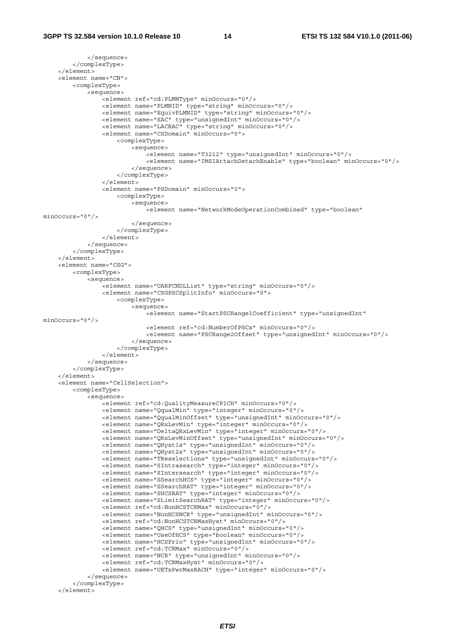```
 </sequence> 
         </complexType> 
     </element> 
     <element name="CN"> 
         <complexType> 
             <sequence> 
                -<br><element ref="cd:PLMNTvpe" minOccurs="0"/>
                 <element name="PLMNID" type="string" minOccurs="0"/> 
                 <element name="EquivPLMNID" type="string" minOccurs="0"/> 
                  <element name="SAC" type="unsignedInt" minOccurs="0"/> 
                 <element name="LACRAC" type="string" minOccurs="0"/> 
                 <element name="CSDomain" minOccurs="0"> 
                      <complexType> 
                          <sequence> 
                              <element name="T3212" type="unsignedInt" minOccurs="0"/> 
                              <element name="IMSIAttachDetachEnable" type="boolean" minOccurs="0"/> 
                          </sequence> 
                      </complexType> 
                  </element> 
                  <element name="PSDomain" minOccurs="0"> 
                     <complexType> 
                          <sequence> 
                              <element name="NetworkModeOperationCombined" type="boolean" 
minOccurs="0"/> 
                          </sequence> 
                      </complexType> 
                 </element> 
             </sequence> 
         </complexType> 
    \sim/element\sim <element name="CSG"> 
         <complexType> 
             <sequence> 
                 <element name="UARFCNDLList" type="string" minOccurs="0"/> 
                  <element name="CSGPSCSplitInfo" minOccurs="0"> 
                      <complexType> 
                          <sequence> 
                             .<br><element name="StartPSCRange1Coefficient" type="unsignedInt"
minOccurs="0"/> 
                              <element ref="cd:NumberOfPSCs" minOccurs="0"/> 
                              <element name="PSCRange2Offset" type="unsignedInt" minOccurs="0"/> 
                          </sequence> 
                      </complexType> 
                 </element> 
             </sequence> 
         </complexType> 
     </element> 
     <element name="CellSelection"> 
         <complexType> 
             <sequence> 
                 <element ref="cd:QualityMeasureCPICH" minOccurs="0"/> 
                  <element name="QqualMin" type="integer" minOccurs="0"/> 
                  <element name="QqualMinOffset" type="unsignedInt" minOccurs="0"/> 
                  <element name="QRxLevMin" type="integer" minOccurs="0"/> 
                 <element name="DeltaQRxLevMin" type="integer" minOccurs="0"/> 
                 <element name="QRxLevMinOffset" type="unsignedInt" minOccurs="0"/> 
                  <element name="QHyst1s" type="unsignedInt" minOccurs="0"/> 
                 <element name="QHyst2s" type="unsignedInt" minOccurs="0"/> 
                 <element name="TReselections" type="unsignedInt" minOccurs="0"/> 
                 <element name="SIntrasearch" type="integer" minOccurs="0"/> 
                 <element name="SIntersearch" type="integer" minOccurs="0"/> 
                  <element name="SSearchHCS" type="integer" minOccurs="0"/> 
                 <element name="SSearchRAT" type="integer" minOccurs="0"/> 
 <element name="SHCSRAT" type="integer" minOccurs="0"/> 
 <element name="SLimitSearchRAT" type="integer" minOccurs="0"/> 
                 <element ref="cd:NonHCSTCRMax" minOccurs="0"/> 
                  <element name="NonHCSNCR" type="unsignedInt" minOccurs="0"/> 
                 <element ref="cd:NonHCSTCRMaxHyst" minOccurs="0"/> 
 <element name="QHCS" type="unsignedInt" minOccurs="0"/> 
 <element name="UseOfHCS" type="boolean" minOccurs="0"/> 
                  <element name="HCSPrio" type="unsignedInt" minOccurs="0"/> 
                 <element ref="cd:TCRMax" minOccurs="0"/> 
                 <element name="NCR" type="unsignedInt" minOccurs="0"/> 
                 <element ref="cd:TCRMaxHyst" minOccurs="0"/> 
                  <element name="UETxPwrMaxRACH" type="integer" minOccurs="0"/> 
             </sequence> 
         </complexType> 
     </element>
```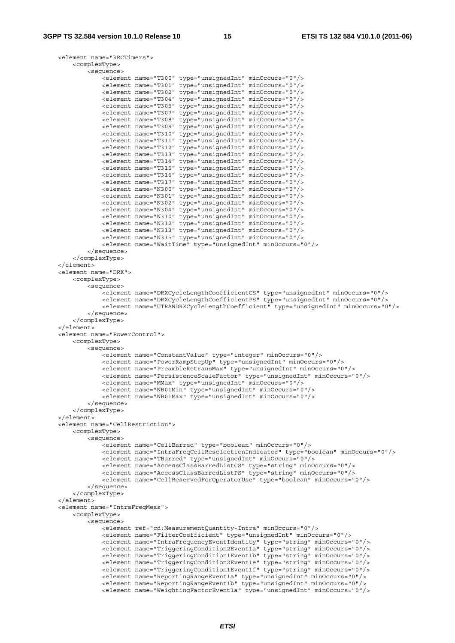```
 <element name="RRCTimers"> 
     <complexType> 
         <sequence> 
             <element name="T300" type="unsignedInt" minOccurs="0"/> 
             <element name="T301" type="unsignedInt" minOccurs="0"/> 
             <element name="T302" type="unsignedInt" minOccurs="0"/> 
             <element name="T304" type="unsignedInt" minOccurs="0"/> 
             <element name="T305" type="unsignedInt" minOccurs="0"/> 
             <element name="T307" type="unsignedInt" minOccurs="0"/> 
             <element name="T308" type="unsignedInt" minOccurs="0"/> 
             <element name="T309" type="unsignedInt" minOccurs="0"/> 
             <element name="T310" type="unsignedInt" minOccurs="0"/> 
             <element name="T311" type="unsignedInt" minOccurs="0"/> 
             <element name="T312" type="unsignedInt" minOccurs="0"/> 
             <element name="T313" type="unsignedInt" minOccurs="0"/> 
             <element name="T314" type="unsignedInt" minOccurs="0"/> 
             <element name="T315" type="unsignedInt" minOccurs="0"/> 
             <element name="T316" type="unsignedInt" minOccurs="0"/> 
             <element name="T317" type="unsignedInt" minOccurs="0"/> 
             <element name="N300" type="unsignedInt" minOccurs="0"/> 
             <element name="N301" type="unsignedInt" minOccurs="0"/> 
             <element name="N302" type="unsignedInt" minOccurs="0"/> 
             <element name="N304" type="unsignedInt" minOccurs="0"/> 
             <element name="N310" type="unsignedInt" minOccurs="0"/> 
             <element name="N312" type="unsignedInt" minOccurs="0"/> 
             <element name="N313" type="unsignedInt" minOccurs="0"/> 
             <element name="N315" type="unsignedInt" minOccurs="0"/> 
             <element name="WaitTime" type="unsignedInt" minOccurs="0"/> 
         </sequence> 
     </complexType> 
 </element> 
 <element name="DRX"> 
     <complexType> 
         <sequence> 
             <element name="DRXCycleLengthCoefficientCS" type="unsignedInt" minOccurs="0"/> 
             <element name="DRXCycleLengthCoefficientPS" type="unsignedInt" minOccurs="0"/> 
             <element name="UTRANDRXCycleLengthCoefficient" type="unsignedInt" minOccurs="0"/> 
         </sequence> 
     </complexType> 
 </element> 
 <element name="PowerControl"> 
    <complexType> 
         <sequence> 
             <element name="ConstantValue" type="integer" minOccurs="0"/> 
             <element name="PowerRampStepUp" type="unsignedInt" minOccurs="0"/> 
             <element name="PreambleRetransMax" type="unsignedInt" minOccurs="0"/> 
             <element name="PersistenceScaleFactor" type="unsignedInt" minOccurs="0"/> 
             <element name="MMax" type="unsignedInt" minOccurs="0"/> 
             <element name="NB01Min" type="unsignedInt" minOccurs="0"/> 
             <element name="NB01Max" type="unsignedInt" minOccurs="0"/> 
         </sequence> 
     </complexType> 
 </element> 
 <element name="CellRestriction"> 
     <complexType> 
         <sequence> 
             <element name="CellBarred" type="boolean" minOccurs="0"/> 
             <element name="IntraFreqCellReselectionIndicator" type="boolean" minOccurs="0"/> 
             <element name="TBarred" type="unsignedInt" minOccurs="0"/> 
             <element name="AccessClassBarredListCS" type="string" minOccurs="0"/> 
             <element name="AccessClassBarredListPS" type="string" minOccurs="0"/> 
             <element name="CellReservedForOperatorUse" type="boolean" minOccurs="0"/> 
         </sequence> 
     </complexType> 
\epsilon/elements
 <element name="IntraFreqMeas"> 
     <complexType> 
         <sequence> 
             <element ref="cd:MeasurementQuantity-Intra" minOccurs="0"/> 
             <element name="FilterCoefficient" type="unsignedInt" minOccurs="0"/> 
             <element name="IntraFrequencyEventIdentity" type="string" minOccurs="0"/> 
             <element name="TriggeringCondition2Event1a" type="string" minOccurs="0"/> 
             <element name="TriggeringCondition1Event1b" type="string" minOccurs="0"/> 
             <element name="TriggeringCondition2Event1e" type="string" minOccurs="0"/> 
             <element name="TriggeringCondition1Event1f" type="string" minOccurs="0"/> 
             <element name="ReportingRangeEvent1a" type="unsignedInt" minOccurs="0"/> 
             <element name="ReportingRangeEvent1b" type="unsignedInt" minOccurs="0"/> 
             <element name="WeightingFactorEvent1a" type="unsignedInt" minOccurs="0"/>
```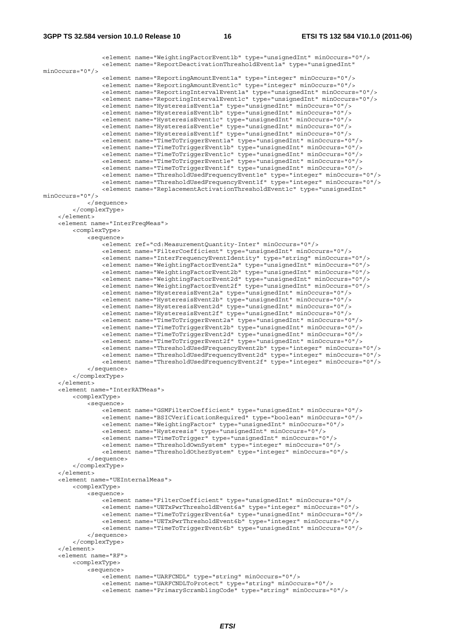```
 <element name="WeightingFactorEvent1b" type="unsignedInt" minOccurs="0"/> 
                <element name="ReportDeactivationThresholdEvent1a" type="unsignedInt" 
minOccurs="0"/> 
 <element name="ReportingAmountEvent1a" type="integer" minOccurs="0"/> 
 <element name="ReportingAmountEvent1c" type="integer" minOccurs="0"/> 
                 <element name="ReportingIntervalEvent1a" type="unsignedInt" minOccurs="0"/> 
                <element name="ReportingIntervalEvent1c" type="unsignedInt" minOccurs="0"/> 
                <element name="HysteresisEvent1a" type="unsignedInt" minOccurs="0"/> 
                <element name="HysteresisEvent1b" type="unsignedInt" minOccurs="0"/> 
                 <element name="HysteresisEvent1c" type="unsignedInt" minOccurs="0"/> 
                <element name="HysteresisEvent1e" type="unsignedInt" minOccurs="0"/> 
                <element name="HysteresisEvent1f" type="unsignedInt" minOccurs="0"/> 
                 <element name="TimeToTriggerEvent1a" type="unsignedInt" minOccurs="0"/> 
                 <element name="TimeToTriggerEvent1b" type="unsignedInt" minOccurs="0"/> 
 <element name="TimeToTriggerEvent1c" type="unsignedInt" minOccurs="0"/> 
 <element name="TimeToTriggerEvent1e" type="unsignedInt" minOccurs="0"/> 
                <element name="TimeToTriggerEvent1f" type="unsignedInt" minOccurs="0"/> 
                 <element name="ThresholdUsedFrequencyEvent1e" type="integer" minOccurs="0"/> 
                 <element name="ThresholdUsedFrequencyEvent1f" type="integer" minOccurs="0"/> 
                <element name="ReplacementActivationThresholdEvent1c" type="unsignedInt" 
minOccurs="0"/> 
            </sequence> 
         </complexType> 
     </element> 
     <element name="InterFreqMeas"> 
         <complexType> 
            <sequence> 
                 <element ref="cd:MeasurementQuantity-Inter" minOccurs="0"/> 
                <element name="FilterCoefficient" type="unsignedInt" minOccurs="0"/> 
 <element name="InterFrequencyEventIdentity" type="string" minOccurs="0"/> 
 <element name="WeightingFactorEvent2a" type="unsignedInt" minOccurs="0"/> 
                 <element name="WeightingFactorEvent2b" type="unsignedInt" minOccurs="0"/> 
                <element name="WeightingFactorEvent2d" type="unsignedInt" minOccurs="0"/> 
                <element name="WeightingFactorEvent2f" type="unsignedInt" minOccurs="0"/> 
 <element name="HysteresisEvent2a" type="unsignedInt" minOccurs="0"/> 
 <element name="HysteresisEvent2b" type="unsignedInt" minOccurs="0"/> 
                <element name="HysteresisEvent2d" type="unsignedInt" minOccurs="0"/> 
                <element name="HysteresisEvent2f" type="unsignedInt" minOccurs="0"/> 
                <element name="TimeToTriggerEvent2a" type="unsignedInt" minOccurs="0"/> 
                 <element name="TimeToTriggerEvent2b" type="unsignedInt" minOccurs="0"/> 
 <element name="TimeToTriggerEvent2d" type="unsignedInt" minOccurs="0"/> 
 <element name="TimeToTriggerEvent2f" type="unsignedInt" minOccurs="0"/> 
 <element name="ThresholdUsedFrequencyEvent2b" type="integer" minOccurs="0"/> 
 <element name="ThresholdUsedFrequencyEvent2d" type="integer" minOccurs="0"/> 
                 <element name="ThresholdUsedFrequencyEvent2f" type="integer" minOccurs="0"/> 
            </sequence> 
         </complexType> 
     </element> 
     <element name="InterRATMeas"> 
         <complexType> 
            <sequence> 
               -<br>-<element name="GSMFilterCoefficient" type="unsignedInt" minOccurs="0"/>
                 <element name="BSICVerificationRequired" type="boolean" minOccurs="0"/> 
                 <element name="WeightingFactor" type="unsignedInt" minOccurs="0"/> 
                <element name="Hysteresis" type="unsignedInt" minOccurs="0"/> 
                <element name="TimeToTrigger" type="unsignedInt" minOccurs="0"/> 
                 <element name="ThresholdOwnSystem" type="integer" minOccurs="0"/> 
                <element name="ThresholdOtherSystem" type="integer" minOccurs="0"/> 
            </sequence> 
         </complexType> 
     </element> 
     <element name="UEInternalMeas"> 
        <complexType> 
            <sequence> 
                <element name="FilterCoefficient" type="unsignedInt" minOccurs="0"/> 
                 <element name="UETxPwrThresholdEvent6a" type="integer" minOccurs="0"/> 
                 <element name="TimeToTriggerEvent6a" type="unsignedInt" minOccurs="0"/> 
                <element name="UETxPwrThresholdEvent6b" type="integer" minOccurs="0"/> 
                <element name="TimeToTriggerEvent6b" type="unsignedInt" minOccurs="0"/> 
             </sequence> 
         </complexType> 
     </element> 
     <element name="RF"> 
         <complexType> 
             <sequence> 
                <element name="UARFCNDL" type="string" minOccurs="0"/> 
 <element name="UARFCNDLToProtect" type="string" minOccurs="0"/> 
 <element name="PrimaryScramblingCode" type="string" minOccurs="0"/>
```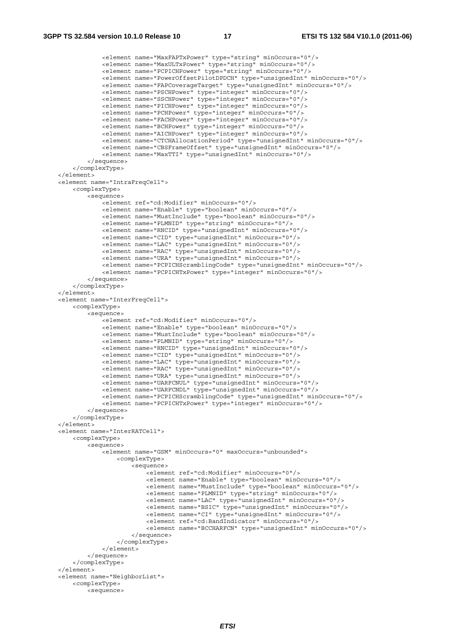```
 <element name="MaxFAPTxPower" type="string" minOccurs="0"/> 
 <element name="MaxULTxPower" type="string" minOccurs="0"/> 
 <element name="PCPICHPower" type="string" minOccurs="0"/> 
                 <element name="PowerOffsetPilotDPDCH" type="unsignedInt" minOccurs="0"/> 
                 <element name="FAPCoverageTarget" type="unsignedInt" minOccurs="0"/> 
                 <element name="PSCHPower" type="integer" minOccurs="0"/> 
                 <element name="SSCHPower" type="integer" minOccurs="0"/> 
                 <element name="PICHPower" type="integer" minOccurs="0"/> 
                 <element name="PCHPower" type="integer" minOccurs="0"/> 
                 <element name="FACHPower" type="integer" minOccurs="0"/> 
                 <element name="BCHPower" type="integer" minOccurs="0"/> 
                 <element name="AICHPower" type="integer" minOccurs="0"/> 
                 <element name="CTCHAllocationPeriod" type="unsignedInt" minOccurs="0"/> 
                 <element name="CBSFrameOffset" type="unsignedInt" minOccurs="0"/> 
                 <element name="MaxTTI" type="unsignedInt" minOccurs="0"/> 
             </sequence> 
         </complexType> 
    </element> 
    <element name="IntraFreqCell"> 
         <complexType> 
             <sequence> 
                 <element ref="cd:Modifier" minOccurs="0"/> 
                 <element name="Enable" type="boolean" minOccurs="0"/> 
                 <element name="MustInclude" type="boolean" minOccurs="0"/> 
                 <element name="PLMNID" type="string" minOccurs="0"/> 
                 <element name="RNCID" type="unsignedInt" minOccurs="0"/> 
                 <element name="CID" type="unsignedInt" minOccurs="0"/> 
                 <element name="LAC" type="unsignedInt" minOccurs="0"/> 
                 <element name="RAC" type="unsignedInt" minOccurs="0"/> 
                 <element name="URA" type="unsignedInt" minOccurs="0"/> 
                 <element name="PCPICHScramblingCode" type="unsignedInt" minOccurs="0"/> 
                 <element name="PCPICHTxPower" type="integer" minOccurs="0"/> 
             </sequence> 
         </complexType> 
    </element> 
    <element name="InterFreqCell"> 
         <complexType> 
             <sequence> 
                 <element ref="cd:Modifier" minOccurs="0"/> 
                 <element name="Enable" type="boolean" minOccurs="0"/> 
                 <element name="MustInclude" type="boolean" minOccurs="0"/> 
                 <element name="PLMNID" type="string" minOccurs="0"/> 
                 <element name="RNCID" type="unsignedInt" minOccurs="0"/> 
                 <element name="CID" type="unsignedInt" minOccurs="0"/> 
                 <element name="LAC" type="unsignedInt" minOccurs="0"/> 
 <element name="RAC" type="unsignedInt" minOccurs="0"/> 
 <element name="URA" type="unsignedInt" minOccurs="0"/> 
                 <element name="UARFCNUL" type="unsignedInt" minOccurs="0"/> 
                 <element name="UARFCNDL" type="unsignedInt" minOccurs="0"/> 
                 <element name="PCPICHScramblingCode" type="unsignedInt" minOccurs="0"/> 
                 <element name="PCPICHTxPower" type="integer" minOccurs="0"/> 
             </sequence> 
         </complexType> 
    </element> 
    <element name="InterRATCell"> 
         <complexType> 
             <sequence> 
                 <element name="GSM" minOccurs="0" maxOccurs="unbounded"> 
                     <complexType> 
                         <sequence> 
                             <element ref="cd:Modifier" minOccurs="0"/> 
                              <element name="Enable" type="boolean" minOccurs="0"/> 
                             <element name="MustInclude" type="boolean" minOccurs="0"/> 
                             <element name="PLMNID" type="string" minOccurs="0"/> 
                             <element name="LAC" type="unsignedInt" minOccurs="0"/> 
                             <element name="BSIC" type="unsignedInt" minOccurs="0"/> 
                              <element name="CI" type="unsignedInt" minOccurs="0"/> 
                             <element ref="cd:BandIndicator" minOccurs="0"/> 
                             <element name="BCCHARFCN" type="unsignedInt" minOccurs="0"/> 
                         </sequence> 
                     </complexType> 
                 </element> 
             </sequence> 
         </complexType> 
    </element> 
    <element name="NeighborList"> 
         <complexType> 
             <sequence>
```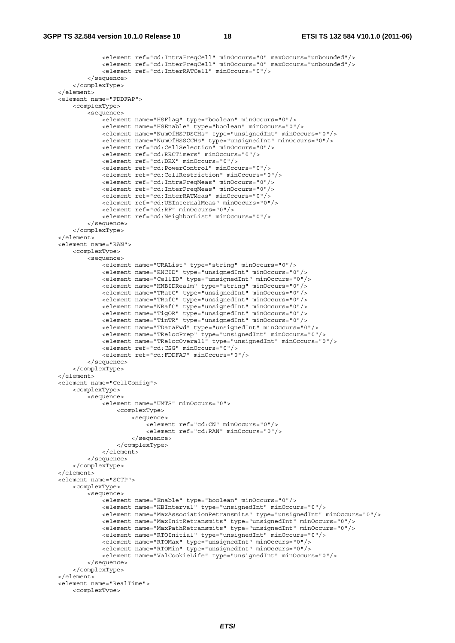```
 <element ref="cd:IntraFreqCell" minOccurs="0" maxOccurs="unbounded"/> 
                 <element ref="cd:InterFreqCell" minOccurs="0" maxOccurs="unbounded"/> 
                 <element ref="cd:InterRATCell" minOccurs="0"/> 
             </sequence> 
         </complexType> 
     </element> 
    <element name="FDDFAP"> 
         <complexType> 
             <sequence> 
                .<br><element name="HSFlaq" type="boolean" minOccurs="0"/>
                 <element name="HSEnable" type="boolean" minOccurs="0"/> 
                 <element name="NumOfHSPDSCHs" type="unsignedInt" minOccurs="0"/> 
                 <element name="NumOfHSSCCHs" type="unsignedInt" minOccurs="0"/> 
                 <element ref="cd:CellSelection" minOccurs="0"/> 
                 <element ref="cd:RRCTimers" minOccurs="0"/> 
                 <element ref="cd:DRX" minOccurs="0"/> 
                 <element ref="cd:PowerControl" minOccurs="0"/> 
                 <element ref="cd:CellRestriction" minOccurs="0"/> 
                 <element ref="cd:IntraFreqMeas" minOccurs="0"/> 
                 <element ref="cd:InterFreqMeas" minOccurs="0"/> 
                 <element ref="cd:InterRATMeas" minOccurs="0"/> 
                 <element ref="cd:UEInternalMeas" minOccurs="0"/> 
                 <element ref="cd:RF" minOccurs="0"/> 
                 <element ref="cd:NeighborList" minOccurs="0"/> 
             </sequence> 
         </complexType> 
     </element> 
     <element name="RAN"> 
         <complexType> 
            >sequence\sim <element name="URAList" type="string" minOccurs="0"/> 
                 <element name="RNCID" type="unsignedInt" minOccurs="0"/> 
                 <element name="CellID" type="unsignedInt" minOccurs="0"/> 
                 <element name="HNBIDRealm" type="string" minOccurs="0"/> 
                 <element name="TRatC" type="unsignedInt" minOccurs="0"/> 
                 <element name="TRafC" type="unsignedInt" minOccurs="0"/> 
                 <element name="NRafC" type="unsignedInt" minOccurs="0"/> 
 <element name="TigOR" type="unsignedInt" minOccurs="0"/> 
 <element name="TinTR" type="unsignedInt" minOccurs="0"/> 
                 <element name="TDataFwd" type="unsignedInt" minOccurs="0"/> 
                 <element name="TRelocPrep" type="unsignedInt" minOccurs="0"/> 
                 <element name="TRelocOverall" type="unsignedInt" minOccurs="0"/> 
                 <element ref="cd:CSG" minOccurs="0"/> 
                 <element ref="cd:FDDFAP" minOccurs="0"/> 
             </sequence> 
         </complexType> 
    </element> 
     <element name="CellConfig"> 
         <complexType> 
             <sequence> 
                 <element name="UMTS" minOccurs="0"> 
                     <complexType> 
                         <sequence> 
                              <element ref="cd:CN" minOccurs="0"/> 
                              <element ref="cd:RAN" minOccurs="0"/> 
                          </sequence> 
                     </complexType> 
                 </element> 
             </sequence> 
         </complexType> 
     </element> 
     <element name="SCTP"> 
         <complexType> 
             <sequence> 
                .<br><element name="Enable" type="boolean" minOccurs="0"/>
                 <element name="HBInterval" type="unsignedInt" minOccurs="0"/> 
                 <element name="MaxAssociationRetransmits" type="unsignedInt" minOccurs="0"/> 
                 <element name="MaxInitRetransmits" type="unsignedInt" minOccurs="0"/> 
                 <element name="MaxPathRetransmits" type="unsignedInt" minOccurs="0"/> 
                 <element name="RTOInitial" type="unsignedInt" minOccurs="0"/> 
                 <element name="RTOMax" type="unsignedInt" minOccurs="0"/> 
                 <element name="RTOMin" type="unsignedInt" minOccurs="0"/> 
                 <element name="ValCookieLife" type="unsignedInt" minOccurs="0"/> 
             </sequence> 
         </complexType> 
     </element> 
    <element name="RealTime">
```

```
 <complexType>
```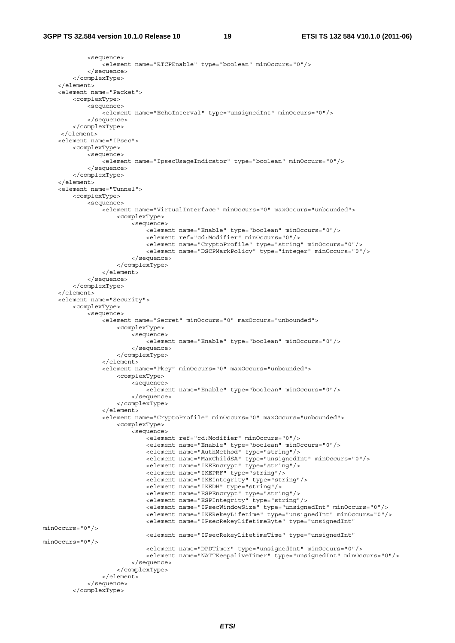```
 <sequence> 
                  <element name="RTCPEnable" type="boolean" minOccurs="0"/> 
              </sequence> 
         </complexType> 
     </element> 
     <element name="Packet"> 
         <complexType> 
              <sequence> 
                 .<br><element name="EchoInterval" type="unsignedInt" minOccurs="0"/>
              </sequence> 
         </complexType> 
      </element> 
     <element name="IPsec"> 
         <complexType> 
              <sequence> 
                 -<br>-<element name="IpsecUsaqeIndicator" type="boolean" minOccurs="0"/>
             </sequence> 
          </complexType> 
     </element> 
     <element name="Tunnel"> 
         <complexType> 
              <sequence> 
                  <element name="VirtualInterface" minOccurs="0" maxOccurs="unbounded"> 
                      <complexType> 
                           <sequence> 
                               <element name="Enable" type="boolean" minOccurs="0"/> 
                               <element ref="cd:Modifier" minOccurs="0"/> 
                               <element name="CryptoProfile" type="string" minOccurs="0"/> 
                               <element name="DSCPMarkPolicy" type="integer" minOccurs="0"/> 
                           </sequence> 
                       </complexType> 
                  </element> 
              </sequence> 
          </complexType> 
     </element> 
     <element name="Security"> 
         <complexType> 
              <sequence> 
                  <element name="Secret" minOccurs="0" maxOccurs="unbounded"> 
                      <complexType> 
                           <sequence> 
                               <element name="Enable" type="boolean" minOccurs="0"/> 
                           </sequence> 
                       </complexType> 
                  </element> 
                  <element name="Pkey" minOccurs="0" maxOccurs="unbounded"> 
                      <complexType> 
                           <sequence> 
                               <element name="Enable" type="boolean" minOccurs="0"/> 
                           </sequence> 
                       </complexType> 
                 \epsilon/element>
                  <element name="CryptoProfile" minOccurs="0" maxOccurs="unbounded"> 
                       <complexType> 
                           <sequence> 
                              .<br><element ref="cd:Modifier" minOccurs="0"/>
                               <element name="Enable" type="boolean" minOccurs="0"/> 
                               <element name="AuthMethod" type="string"/> 
                               <element name="MaxChildSA" type="unsignedInt" minOccurs="0"/> 
                               <element name="IKEEncrypt" type="string"/> 
                               <element name="IKEPRF" type="string"/> 
                               <element name="IKEIntegrity" type="string"/> 
                               <element name="IKEDH" type="string"/> 
                               <element name="ESPEncrypt" type="string"/> 
                               <element name="ESPIntegrity" type="string"/> 
                               <element name="IPsecWindowSize" type="unsignedInt" minOccurs="0"/> 
                               <element name="IKERekeyLifetime" type="unsignedInt" minOccurs="0"/> 
                               <element name="IPsecRekeyLifetimeByte" type="unsignedInt" 
minOccurs="0"/> 
                               <element name="IPsecRekeyLifetimeTime" type="unsignedInt" 
minOccurs="0"/> 
                               <element name="DPDTimer" type="unsignedInt" minOccurs="0"/> 
                               <element name="NATTKeepaliveTimer" type="unsignedInt" minOccurs="0"/> 
                           </sequence> 
                       </complexType> 
                  </element> 
              </sequence> 
         </complexType>
```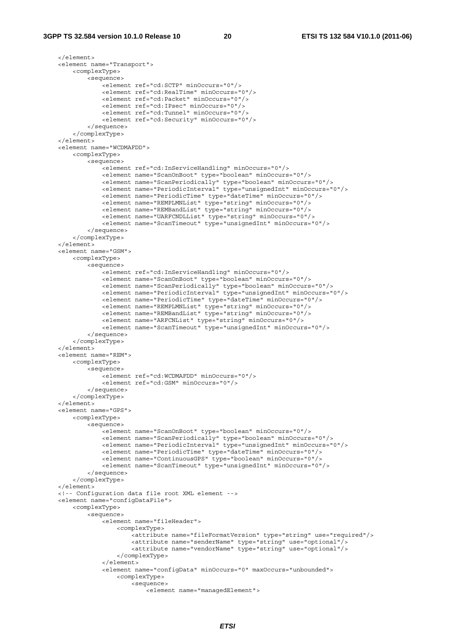</element> <element name="Transport"> <complexType> <sequence> <element ref="cd:SCTP" minOccurs="0"/> <element ref="cd:RealTime" minOccurs="0"/> <element ref="cd:Packet" minOccurs="0"/> <element ref="cd:IPsec" minOccurs="0"/> <element ref="cd:Tunnel" minOccurs="0"/> <element ref="cd:Security" minOccurs="0"/> </sequence> </complexType> </element> <element name="WCDMAFDD"> <complexType> <sequence> <element ref="cd:InServiceHandling" minOccurs="0"/> <element name="ScanOnBoot" type="boolean" minOccurs="0"/> <element name="ScanPeriodically" type="boolean" minOccurs="0"/> <element name="PeriodicInterval" type="unsignedInt" minOccurs="0"/> <element name="PeriodicTime" type="dateTime" minOccurs="0"/> <element name="REMPLMNList" type="string" minOccurs="0"/> <element name="REMBandList" type="string" minOccurs="0"/> <element name="UARFCNDLList" type="string" minOccurs="0"/> <element name="ScanTimeout" type="unsignedInt" minOccurs="0"/> </sequence> </complexType> </element> <element name="GSM"> <complexType> <sequence> <element ref="cd:InServiceHandling" minOccurs="0"/> <element name="ScanOnBoot" type="boolean" minOccurs="0"/> <element name="ScanPeriodically" type="boolean" minOccurs="0"/> <element name="PeriodicInterval" type="unsignedInt" minOccurs="0"/> <element name="PeriodicTime" type="dateTime" minOccurs="0"/> <element name="REMPLMNList" type="string" minOccurs="0"/> <element name="REMBandList" type="string" minOccurs="0"/> <element name="ARFCNList" type="string" minOccurs="0"/> <element name="ScanTimeout" type="unsignedInt" minOccurs="0"/> </sequence> </complexType> </element> <element name="REM"> <complexType> <sequence> <element ref="cd:WCDMAFDD" minOccurs="0"/> <element ref="cd:GSM" minOccurs="0"/> </sequence> </complexType> </element> <element name="GPS"> <complexType> <sequence> <element name="ScanOnBoot" type="boolean" minOccurs="0"/> <element name="ScanPeriodically" type="boolean" minOccurs="0"/> <element name="PeriodicInterval" type="unsignedInt" minOccurs="0"/> <element name="PeriodicTime" type="dateTime" minOccurs="0"/> <element name="ContinuousGPS" type="boolean" minOccurs="0"/> <element name="ScanTimeout" type="unsignedInt" minOccurs="0"/> </sequence> </complexType> </element> <!-- Configuration data file root XML element --> <element name="configDataFile"> <complexType> <sequence> -<br><element name="fileHeader"> <complexType> <attribute name="fileFormatVersion" type="string" use="required"/> <attribute name="senderName" type="string" use="optional"/> <attribute name="vendorName" type="string" use="optional"/> </complexType> </element> <element name="configData" minOccurs="0" maxOccurs="unbounded"> <complexType> <sequence> <element name="managedElement">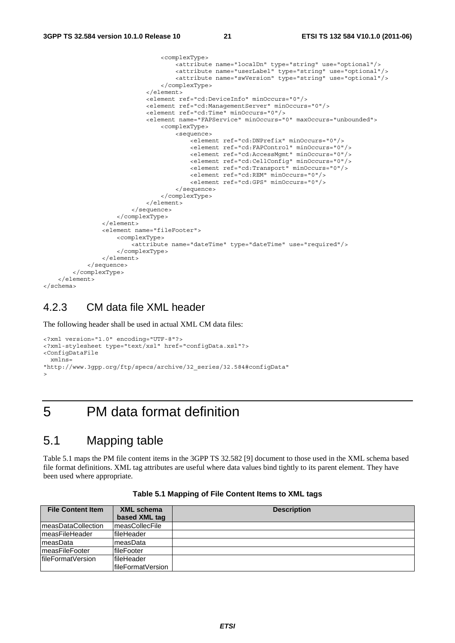```
 <complexType> 
                                        <attribute name="localDn" type="string" use="optional"/> 
                                        <attribute name="userLabel" type="string" use="optional"/> 
                                        <attribute name="swVersion" type="string" use="optional"/> 
                                   </complexType> 
                               </element> 
                               <element ref="cd:DeviceInfo" minOccurs="0"/> 
                               <element ref="cd:ManagementServer" minOccurs="0"/> 
                               <element ref="cd:Time" minOccurs="0"/> 
                               <element name="FAPService" minOccurs="0" maxOccurs="unbounded"> 
                                   <complexType> 
                                        <sequence> 
                                           .<br><element ref="cd:DNPrefix" minOccurs="0"/>
                                            <element ref="cd:FAPControl" minOccurs="0"/> 
                                            <element ref="cd:AccessMgmt" minOccurs="0"/> 
                                            <element ref="cd:CellConfig" minOccurs="0"/> 
                                            <element ref="cd:Transport" minOccurs="0"/> 
                                            <element ref="cd:REM" minOccurs="0"/> 
                                            <element ref="cd:GPS" minOccurs="0"/> 
                                        </sequence> 
                                   </complexType> 
                               </element> 
                           </sequence> 
                      </complexType> 
                  </element> 
                  <element name="fileFooter"> 
                      <complexType> 
                           <attribute name="dateTime" type="dateTime" use="required"/> 
                      </complexType> 
                 >/element>
             </sequence> 
         </complexType> 
     </element> 
</schema>
```
#### 4.2.3 CM data file XML header

The following header shall be used in actual XML CM data files:

```
<?xml version="1.0" encoding="UTF-8"?> 
<?xml-stylesheet type="text/xsl" href="configData.xsl"?> 
<ConfigDataFile 
  xmlns= 
"http://www.3gpp.org/ftp/specs/archive/32_series/32.584#configData" 
>
```
### 5 PM data format definition

#### 5.1 Mapping table

Table 5.1 maps the PM file content items in the 3GPP TS 32.582 [9] document to those used in the XML schema based file format definitions. XML tag attributes are useful where data values bind tightly to its parent element. They have been used where appropriate.

| <b>File Content Item</b> | <b>XML schema</b>  | <b>Description</b> |
|--------------------------|--------------------|--------------------|
|                          | based XML tag      |                    |
| ImeasDataCollection      | measCollecFile     |                    |
| ImeasFileHeader          | lfileHeader        |                    |
| measData                 | ImeasData          |                    |
| ImeasFileFooter          | lfileFooter        |                    |
| lfileFormatVersion       | lfileHeader        |                    |
|                          | lfileFormatVersion |                    |

**Table 5.1 Mapping of File Content Items to XML tags**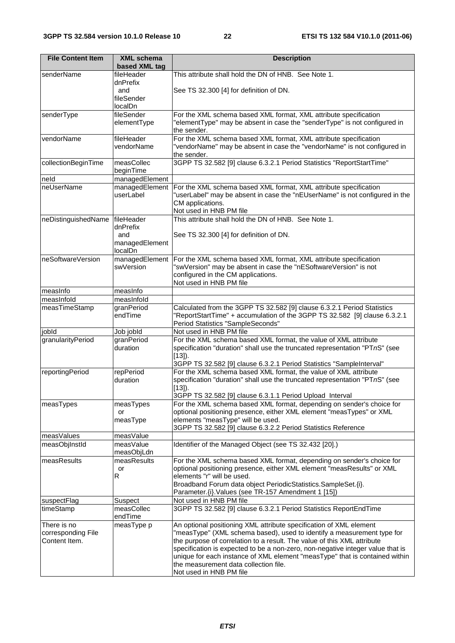| <b>File Content Item</b>            | <b>XML schema</b>         | <b>Description</b>                                                                                                                                |
|-------------------------------------|---------------------------|---------------------------------------------------------------------------------------------------------------------------------------------------|
|                                     | based XML tag             |                                                                                                                                                   |
| senderName                          | fileHeader                | This attribute shall hold the DN of HNB. See Note 1.                                                                                              |
|                                     | dnPrefix<br>and           |                                                                                                                                                   |
|                                     | fileSender                | See TS 32.300 [4] for definition of DN.                                                                                                           |
|                                     | localDn                   |                                                                                                                                                   |
| senderType                          | fileSender                | For the XML schema based XML format, XML attribute specification                                                                                  |
|                                     | elementType               | "elementType" may be absent in case the "senderType" is not configured in                                                                         |
|                                     |                           | the sender.                                                                                                                                       |
| vendorName                          | fileHeader                | For the XML schema based XML format, XML attribute specification                                                                                  |
|                                     | vendorName                | "vendorName" may be absent in case the "vendorName" is not configured in                                                                          |
| collectionBeginTime                 | measCollec                | the sender.<br>3GPP TS 32.582 [9] clause 6.3.2.1 Period Statistics "ReportStartTime"                                                              |
|                                     | beginTime                 |                                                                                                                                                   |
| neld                                | managedElement            |                                                                                                                                                   |
| neUserName                          | managedElement            | For the XML schema based XML format, XML attribute specification                                                                                  |
|                                     | userLabel                 | "userLabel" may be absent in case the "nEUserName" is not configured in the                                                                       |
|                                     |                           | CM applications.                                                                                                                                  |
|                                     |                           | Not used in HNB PM file                                                                                                                           |
| neDistinguishedName                 | fileHeader                | This attribute shall hold the DN of HNB. See Note 1.                                                                                              |
|                                     | dnPrefix                  |                                                                                                                                                   |
|                                     | and<br>managedElement     | See TS 32.300 [4] for definition of DN.                                                                                                           |
|                                     | localDn                   |                                                                                                                                                   |
| neSoftwareVersion                   | managedElement            | For the XML schema based XML format, XML attribute specification                                                                                  |
|                                     | swVersion                 | "swVersion" may be absent in case the "nESoftwareVersion" is not                                                                                  |
|                                     |                           | configured in the CM applications.                                                                                                                |
|                                     |                           | Not used in HNB PM file                                                                                                                           |
| measInfo                            | measInfo                  |                                                                                                                                                   |
| measInfold                          | measInfold                |                                                                                                                                                   |
| measTimeStamp                       | granPeriod<br>endTime     | Calculated from the 3GPP TS 32.582 [9] clause 6.3.2.1 Period Statistics                                                                           |
|                                     |                           | "ReportStartTime" + accumulation of the 3GPP TS 32.582 [9] clause 6.3.2.1<br>Period Statistics "SampleSeconds"                                    |
| jobld                               | Job jobld                 | Not used in HNB PM file                                                                                                                           |
| granularityPeriod                   | granPeriod                | For the XML schema based XML format, the value of XML attribute                                                                                   |
|                                     | duration                  | specification "duration" shall use the truncated representation "PTnS" (see                                                                       |
|                                     |                           | $[13]$ ).                                                                                                                                         |
|                                     |                           | 3GPP TS 32.582 [9] clause 6.3.2.1 Period Statistics "SampleInterval"                                                                              |
| reportingPeriod                     | repPeriod                 | For the XML schema based XML format, the value of XML attribute                                                                                   |
|                                     | duration                  | specification "duration" shall use the truncated representation "PTnS" (see                                                                       |
|                                     |                           | [13]).<br>3GPP TS 32.582 [9] clause 6.3.1.1 Period Upload Interval                                                                                |
| measTypes                           | measTypes                 | For the XML schema based XML format, depending on sender's choice for                                                                             |
|                                     | or                        | optional positioning presence, either XML element "measTypes" or XML                                                                              |
|                                     | measType                  | elements "measType" will be used.                                                                                                                 |
|                                     |                           | 3GPP TS 32.582 [9] clause 6.3.2.2 Period Statistics Reference                                                                                     |
| measValues                          | measValue                 |                                                                                                                                                   |
| measObjInstId                       | measValue                 | Identifier of the Managed Object (see TS 32.432 [20].)                                                                                            |
|                                     | measObjLdn<br>measResults |                                                                                                                                                   |
| measResults                         | or                        | For the XML schema based XML format, depending on sender's choice for<br>optional positioning presence, either XML element "measResults" or XML   |
|                                     | R                         | elements "r" will be used.                                                                                                                        |
|                                     |                           | Broadband Forum data object PeriodicStatistics.SampleSet.{i}.                                                                                     |
|                                     |                           | Parameter. {i}. Values (see TR-157 Amendment 1 [15])                                                                                              |
| suspectFlag                         | Suspect                   | Not used in HNB PM file                                                                                                                           |
| timeStamp                           | measCollec                | 3GPP TS 32.582 [9] clause 6.3.2.1 Period Statistics ReportEndTime                                                                                 |
|                                     | endTime                   |                                                                                                                                                   |
| There is no                         | measType p                | An optional positioning XML attribute specification of XML element                                                                                |
| corresponding File<br>Content Item. |                           | "measType" (XML schema based), used to identify a measurement type for<br>the purpose of correlation to a result. The value of this XML attribute |
|                                     |                           | specification is expected to be a non-zero, non-negative integer value that is                                                                    |
|                                     |                           | unique for each instance of XML element "measType" that is contained within                                                                       |
|                                     |                           | the measurement data collection file.                                                                                                             |
|                                     |                           | Not used in HNB PM file                                                                                                                           |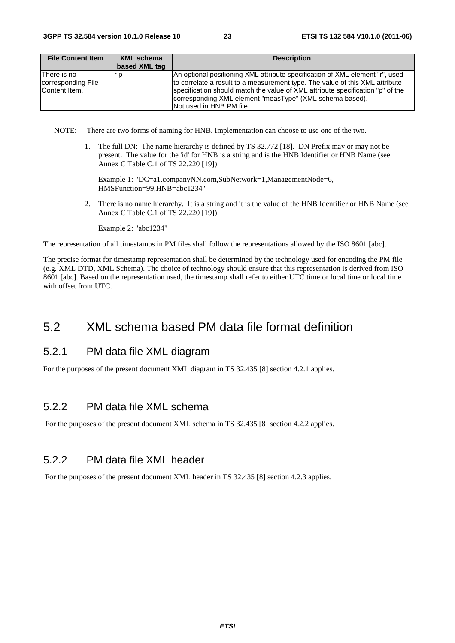| <b>File Content Item</b>                            | XML schema    | <b>Description</b>                                                                                                                                                                                                                                                                                                                     |
|-----------------------------------------------------|---------------|----------------------------------------------------------------------------------------------------------------------------------------------------------------------------------------------------------------------------------------------------------------------------------------------------------------------------------------|
|                                                     | based XML tag |                                                                                                                                                                                                                                                                                                                                        |
| lThere is no<br>corresponding File<br>Content Item. | r p           | An optional positioning XML attribute specification of XML element "r", used<br>to correlate a result to a measurement type. The value of this XML attribute<br>specification should match the value of XML attribute specification "p" of the<br>corresponding XML element "measType" (XML schema based).<br>INot used in HNB PM file |

NOTE: There are two forms of naming for HNB. Implementation can choose to use one of the two.

1. The full DN: The name hierarchy is defined by TS 32.772 [18]. DN Prefix may or may not be present. The value for the 'id' for HNB is a string and is the HNB Identifier or HNB Name (see Annex C Table C.1 of TS 22.220 [19]).

Example 1: "DC=a1.companyNN.com,SubNetwork=1,ManagementNode=6, HMSFunction=99,HNB=abc1234"

2. There is no name hierarchy. It is a string and it is the value of the HNB Identifier or HNB Name (see Annex C Table C.1 of TS 22.220 [19]).

Example 2: "abc1234"

The representation of all timestamps in PM files shall follow the representations allowed by the ISO 8601 [abc].

The precise format for timestamp representation shall be determined by the technology used for encoding the PM file (e.g. XML DTD, XML Schema). The choice of technology should ensure that this representation is derived from ISO 8601 [abc]. Based on the representation used, the timestamp shall refer to either UTC time or local time or local time with offset from UTC.

#### 5.2 XML schema based PM data file format definition

#### 5.2.1 PM data file XML diagram

For the purposes of the present document XML diagram in TS 32.435 [8] section 4.2.1 applies.

#### 5.2.2 PM data file XML schema

For the purposes of the present document XML schema in TS 32.435 [8] section 4.2.2 applies.

#### 5.2.2 PM data file XML header

For the purposes of the present document XML header in TS 32.435 [8] section 4.2.3 applies.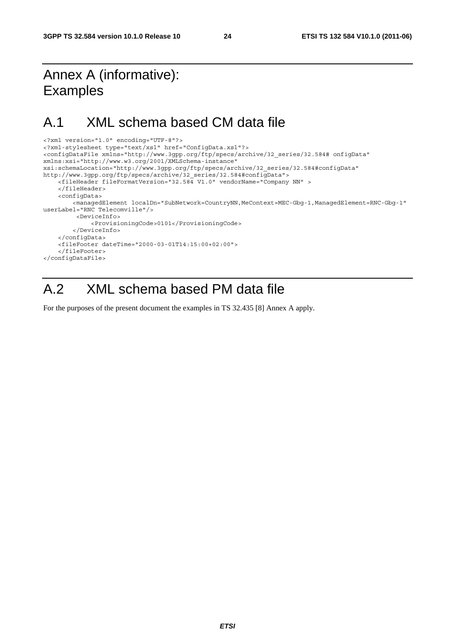# Annex A (informative): Examples

# A.1 XML schema based CM data file

```
<?xml version="1.0" encoding="UTF-8"?> 
<?xml-stylesheet type="text/xsl" href="ConfigData.xsl"?> 
<configDataFile xmlns="http://www.3gpp.org/ftp/specs/archive/32_series/32.584# onfigData" 
xmlns:xsi="http://www.w3.org/2001/XMLSchema-instance" 
xsi:schemaLocation="http://www.3gpp.org/ftp/specs/archive/32_series/32.584#configData" 
http://www.3gpp.org/ftp/specs/archive/32_series/32.584#configData"> 
     <fileHeader fileFormatVersion="32.584 V1.0" vendorName="Company NN" > 
     </fileHeader> 
     <configData> 
         <managedElement localDn="SubNetwork=CountryNN,MeContext=MEC-Gbg-1,ManagedElement=RNC-Gbg-1" 
userLabel="RNC Telecomville"/> 
          <DeviceInfo> 
              <ProvisioningCode>0101</ProvisioningCode> 
         </DeviceInfo> 
     </configData> 
     <fileFooter dateTime="2000-03-01T14:15:00+02:00"> 
     </fileFooter> 
</configDataFile>
```
# A.2 XML schema based PM data file

For the purposes of the present document the examples in TS 32.435 [8] Annex A apply.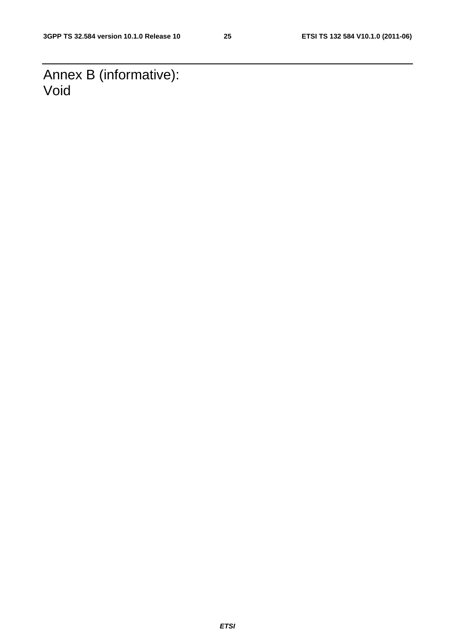Annex B (informative): Void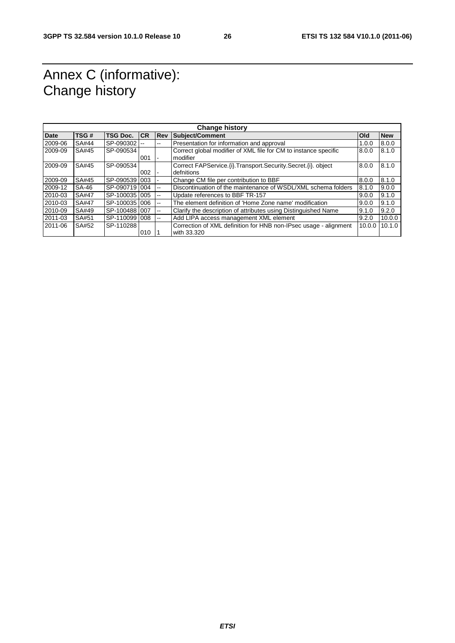# Annex C (informative): Change history

| <b>Change history</b> |              |                 |           |            |                                                                   |            |            |
|-----------------------|--------------|-----------------|-----------|------------|-------------------------------------------------------------------|------------|------------|
| <b>Date</b>           | TSG#         | <b>TSG Doc.</b> | <b>CR</b> | <b>Rev</b> | Subject/Comment                                                   | <b>Old</b> | <b>New</b> |
| 2009-06               | SA#44        | SP-090302 --    |           | --         | Presentation for information and approval                         | 1.0.0      | 8.0.0      |
| 2009-09               | SA#45        | SP-090534       |           |            | Correct global modifier of XML file for CM to instance specific   | 8.0.0      | 8.1.0      |
|                       |              |                 | 001       | ۰          | modifier                                                          |            |            |
| 2009-09               | SA#45        | SP-090534       |           |            | Correct FAPService. (i). Transport. Security. Secret. (i). object | 8.0.0      | 8.1.0      |
|                       |              |                 | 002       | ۰          | defnitions                                                        |            |            |
| 2009-09               | SA#45        | SP-0905391003   |           |            | Change CM file per contribution to BBF                            | 8.0.0      | 8.1.0      |
| 2009-12               | SA-46        | SP-0907191004   |           | --         | Discontinuation of the maintenance of WSDL/XML schema folders     | 8.1.0      | 9.0.0      |
| 2010-03               | <b>SA#47</b> | SP-1000351005   |           | --         | Update references to BBF TR-157                                   | 9.0.0      | 9.1.0      |
| 2010-03               | SA#47        | SP-1000351006   |           | --         | The element definition of 'Home Zone name' modification           | 9.0.0      | 9.1.0      |
| 2010-09               | SA#49        | SP-1004881007   |           | --         | Clarify the description of attributes using Distinguished Name    | 9.1.0      | 9.2.0      |
| 2011-03               | SA#51        | SP-110099 008   |           | --         | Add LIPA access management XML element                            | 9.2.0      | 10.0.0     |
| 2011-06               | SA#52        | SP-110288       |           |            | Correction of XML definition for HNB non-IPsec usage - alignment  | 10.0.0     | 10.1.0     |
|                       |              |                 | 010       |            | with 33.320                                                       |            |            |